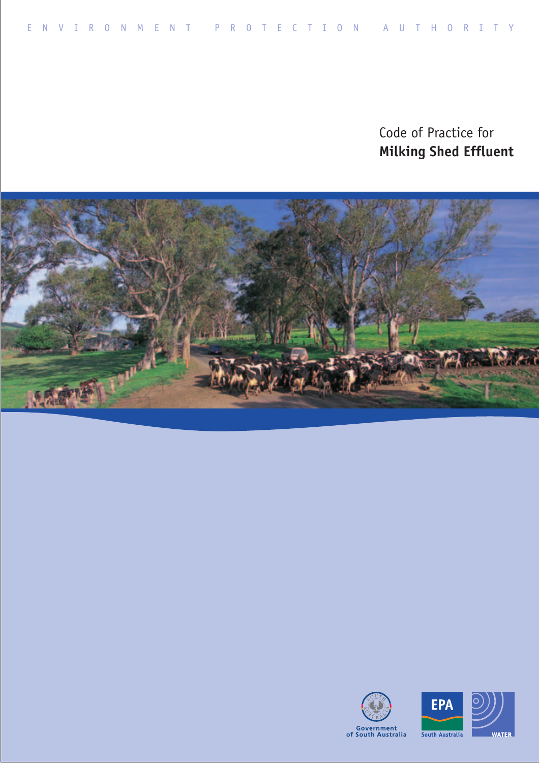Code of Practice for **Milking Shed Effluent** 





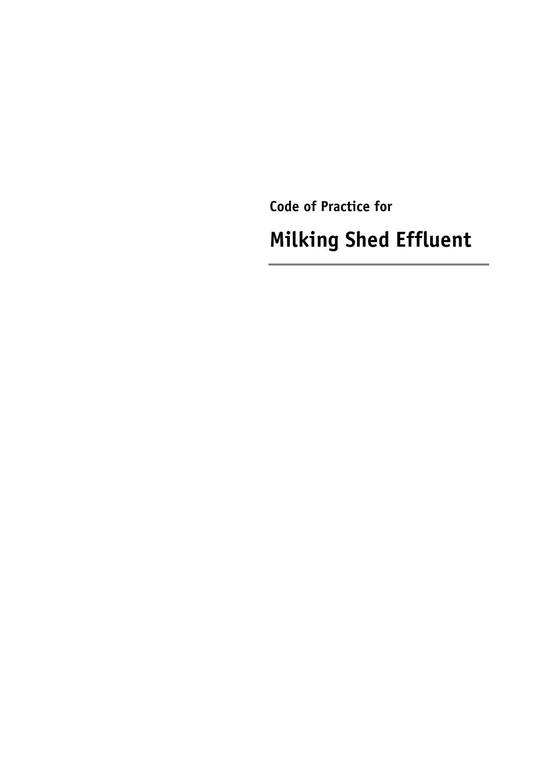Code of Practice for

**Milking Shed Effluent**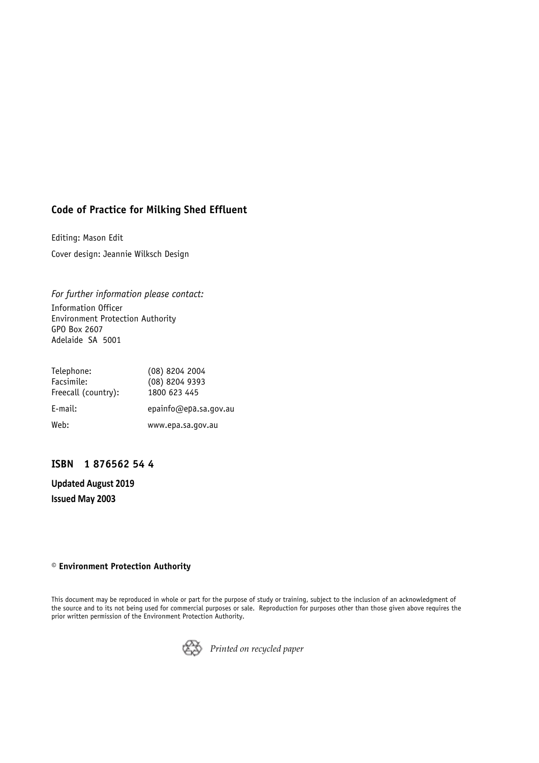#### **Code of Practice for Milking Shed Effluent**

Editing: Mason Edit Cover design: Jeannie Wilksch Design

*For further information please contact:*  Information Officer Environment Protection Authority GPO Box 2607 Adelaide SA 5001

| Telephone:          | $(08)$ 8204 2004      |
|---------------------|-----------------------|
| Facsimile:          | (08) 8204 9393        |
| Freecall (country): | 1800 623 445          |
| E-mail:             | epainfo@epa.sa.gov.au |
| Web:                | www.epa.sa.gov.au     |

#### **ISBN 1 876562 54 4**

**Updated August 2019 Issued May 2003**

#### **† Environment Protection Authority**

This document may be reproduced in whole or part for the purpose of study or training, subject to the inclusion of an acknowledgment of the source and to its not being used for commercial purposes or sale. Reproduction for purposes other than those given above requires the prior written permission of the Environment Protection Authority.



*Printed on recycled paper*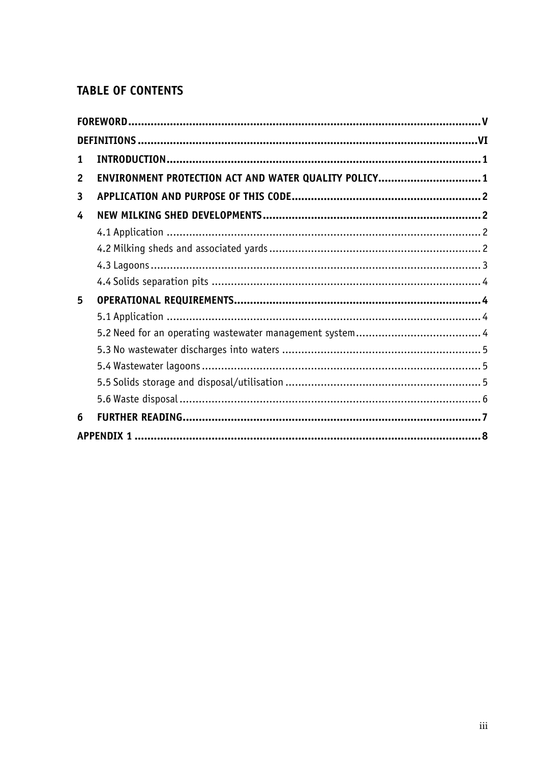# **TABLE OF CONTENTS**

| 1              |                                                       |  |
|----------------|-------------------------------------------------------|--|
| $\overline{2}$ | ENVIRONMENT PROTECTION ACT AND WATER QUALITY POLICY 1 |  |
| 3              |                                                       |  |
| 4              |                                                       |  |
|                |                                                       |  |
|                |                                                       |  |
|                |                                                       |  |
|                |                                                       |  |
| 5              |                                                       |  |
|                |                                                       |  |
|                |                                                       |  |
|                |                                                       |  |
|                |                                                       |  |
|                |                                                       |  |
|                |                                                       |  |
| 6              |                                                       |  |
|                |                                                       |  |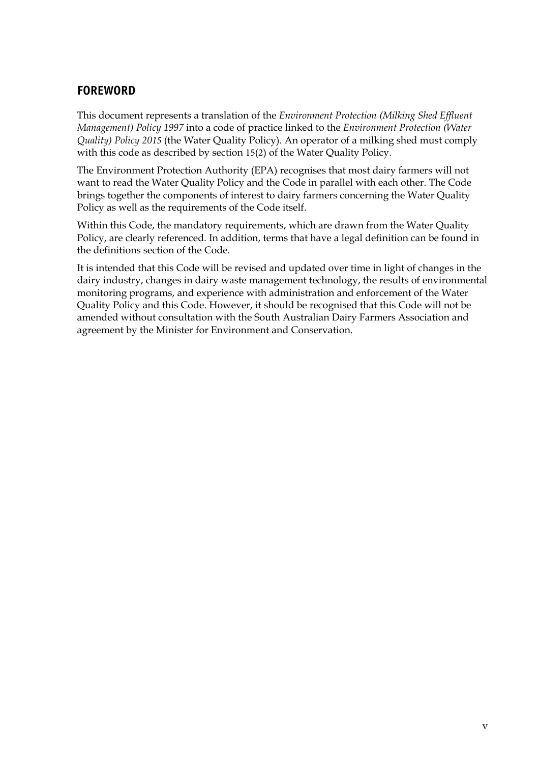# <span id="page-5-0"></span>**FOREWORD**

This document represents a translation of the *Environment Protection (Milking Shed Effluent Management) Policy 1997* into a code of practice linked to the *Environment Protection (Water Quality) Policy 2015* (the Water Quality Policy). An operator of a milking shed must comply with this code as described by section 15(2) of the Water Quality Policy.

The Environment Protection Authority (EPA) recognises that most dairy farmers will not want to read the Water Quality Policy and the Code in parallel with each other. The Code brings together the components of interest to dairy farmers concerning the Water Quality Policy as well as the requirements of the Code itself.

Within this Code, the mandatory requirements, which are drawn from the Water Quality Policy, are clearly referenced. In addition, terms that have a legal definition can be found in the definitions section of the Code.

It is intended that this Code will be revised and updated over time in light of changes in the dairy industry, changes in dairy waste management technology, the results of environmental monitoring programs, and experience with administration and enforcement of the Water Quality Policy and this Code. However, it should be recognised that this Code will not be amended without consultation with the South Australian Dairy Farmers Association and agreement by the Minister for Environment and Conservation.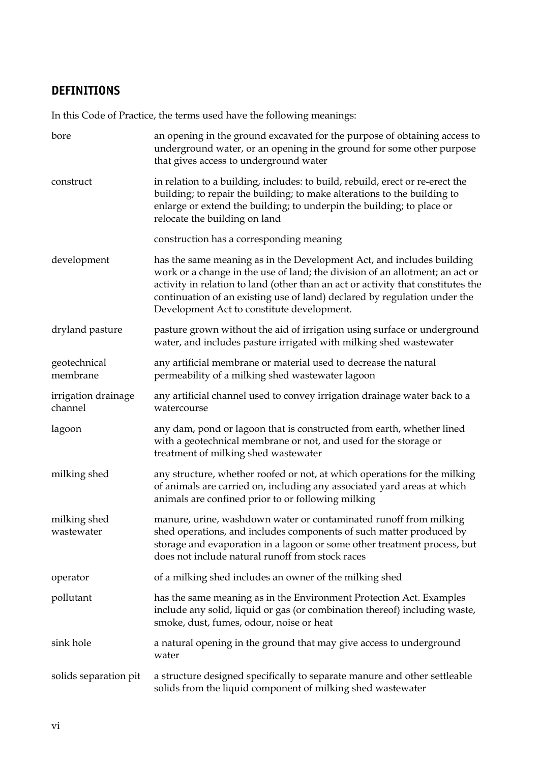# <span id="page-6-0"></span>**DEFINITIONS**

In this Code of Practice, the terms used have the following meanings:

| bore                           | an opening in the ground excavated for the purpose of obtaining access to<br>underground water, or an opening in the ground for some other purpose<br>that gives access to underground water                                                                                                                                                                         |
|--------------------------------|----------------------------------------------------------------------------------------------------------------------------------------------------------------------------------------------------------------------------------------------------------------------------------------------------------------------------------------------------------------------|
| construct                      | in relation to a building, includes: to build, rebuild, erect or re-erect the<br>building; to repair the building; to make alterations to the building to<br>enlarge or extend the building; to underpin the building; to place or<br>relocate the building on land                                                                                                  |
|                                | construction has a corresponding meaning                                                                                                                                                                                                                                                                                                                             |
| development                    | has the same meaning as in the Development Act, and includes building<br>work or a change in the use of land; the division of an allotment; an act or<br>activity in relation to land (other than an act or activity that constitutes the<br>continuation of an existing use of land) declared by regulation under the<br>Development Act to constitute development. |
| dryland pasture                | pasture grown without the aid of irrigation using surface or underground<br>water, and includes pasture irrigated with milking shed wastewater                                                                                                                                                                                                                       |
| geotechnical<br>membrane       | any artificial membrane or material used to decrease the natural<br>permeability of a milking shed wastewater lagoon                                                                                                                                                                                                                                                 |
| irrigation drainage<br>channel | any artificial channel used to convey irrigation drainage water back to a<br>watercourse                                                                                                                                                                                                                                                                             |
| lagoon                         | any dam, pond or lagoon that is constructed from earth, whether lined<br>with a geotechnical membrane or not, and used for the storage or<br>treatment of milking shed wastewater                                                                                                                                                                                    |
| milking shed                   | any structure, whether roofed or not, at which operations for the milking<br>of animals are carried on, including any associated yard areas at which<br>animals are confined prior to or following milking                                                                                                                                                           |
| milking shed<br>wastewater     | manure, urine, washdown water or contaminated runoff from milking<br>shed operations, and includes components of such matter produced by<br>storage and evaporation in a lagoon or some other treatment process, but<br>does not include natural runoff from stock races                                                                                             |
| operator                       | of a milking shed includes an owner of the milking shed                                                                                                                                                                                                                                                                                                              |
| pollutant                      | has the same meaning as in the Environment Protection Act. Examples<br>include any solid, liquid or gas (or combination thereof) including waste,<br>smoke, dust, fumes, odour, noise or heat                                                                                                                                                                        |
| sink hole                      | a natural opening in the ground that may give access to underground<br>water                                                                                                                                                                                                                                                                                         |
| solids separation pit          | a structure designed specifically to separate manure and other settleable<br>solids from the liquid component of milking shed wastewater                                                                                                                                                                                                                             |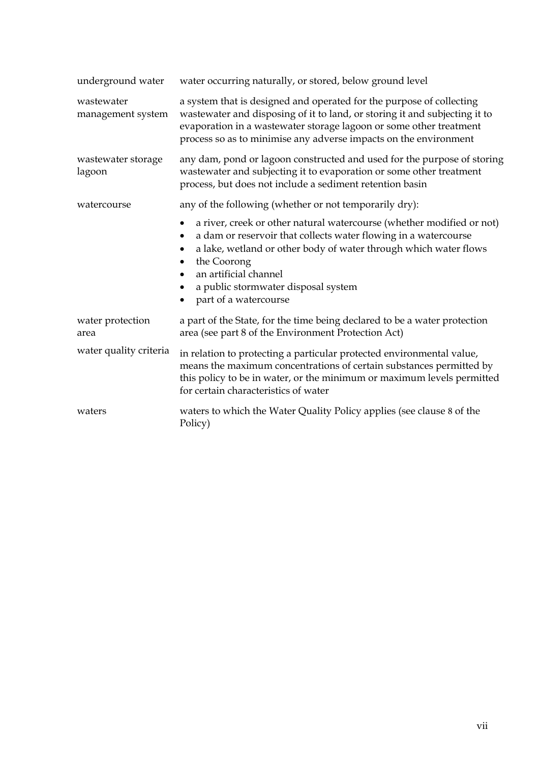| underground water               | water occurring naturally, or stored, below ground level                                                                                                                                                                                                                                                                                                      |
|---------------------------------|---------------------------------------------------------------------------------------------------------------------------------------------------------------------------------------------------------------------------------------------------------------------------------------------------------------------------------------------------------------|
| wastewater<br>management system | a system that is designed and operated for the purpose of collecting<br>wastewater and disposing of it to land, or storing it and subjecting it to<br>evaporation in a wastewater storage lagoon or some other treatment<br>process so as to minimise any adverse impacts on the environment                                                                  |
| wastewater storage<br>lagoon    | any dam, pond or lagoon constructed and used for the purpose of storing<br>wastewater and subjecting it to evaporation or some other treatment<br>process, but does not include a sediment retention basin                                                                                                                                                    |
| watercourse                     | any of the following (whether or not temporarily dry):                                                                                                                                                                                                                                                                                                        |
|                                 | a river, creek or other natural watercourse (whether modified or not)<br>٠<br>a dam or reservoir that collects water flowing in a watercourse<br>٠<br>a lake, wetland or other body of water through which water flows<br>the Coorong<br>$\bullet$<br>an artificial channel<br>a public stormwater disposal system<br>٠<br>part of a watercourse<br>$\bullet$ |
| water protection<br>area        | a part of the State, for the time being declared to be a water protection<br>area (see part 8 of the Environment Protection Act)                                                                                                                                                                                                                              |
| water quality criteria          | in relation to protecting a particular protected environmental value,<br>means the maximum concentrations of certain substances permitted by<br>this policy to be in water, or the minimum or maximum levels permitted<br>for certain characteristics of water                                                                                                |
| waters                          | waters to which the Water Quality Policy applies (see clause 8 of the<br>Policy)                                                                                                                                                                                                                                                                              |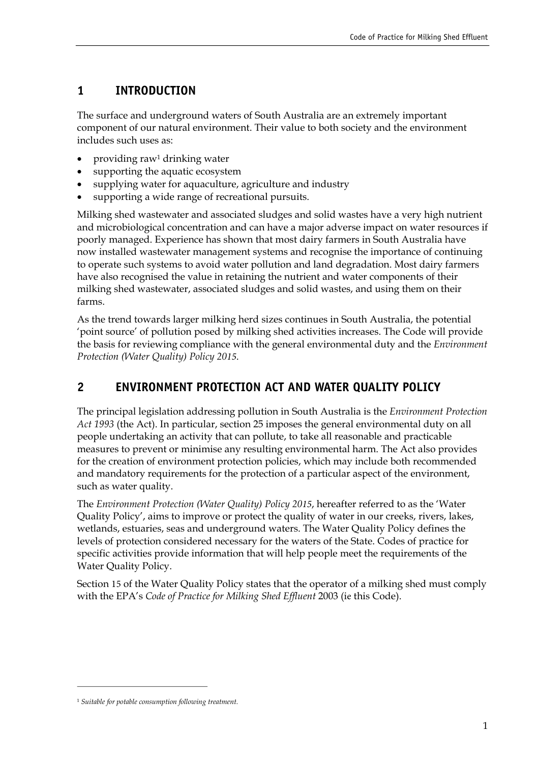# <span id="page-9-0"></span>**1 INTRODUCTION**

The surface and underground waters of South Australia are an extremely important component of our natural environment. Their value to both society and the environment includes such uses as:

- providing ra[w1](#page-9-2) drinking water
- supporting the aquatic ecosystem
- supplying water for aquaculture, agriculture and industry
- supporting a wide range of recreational pursuits.

Milking shed wastewater and associated sludges and solid wastes have a very high nutrient and microbiological concentration and can have a major adverse impact on water resources if poorly managed. Experience has shown that most dairy farmers in South Australia have now installed wastewater management systems and recognise the importance of continuing to operate such systems to avoid water pollution and land degradation. Most dairy farmers have also recognised the value in retaining the nutrient and water components of their milking shed wastewater, associated sludges and solid wastes, and using them on their farms.

As the trend towards larger milking herd sizes continues in South Australia, the potential 'point source' of pollution posed by milking shed activities increases. The Code will provide the basis for reviewing compliance with the general environmental duty and the *Environment Protection (Water Quality) Policy 2015*.

# <span id="page-9-1"></span>**2 ENVIRONMENT PROTECTION ACT AND WATER QUALITY POLICY**

The principal legislation addressing pollution in South Australia is the *Environment Protection Act 1993* (the Act). In particular, section 25 imposes the general environmental duty on all people undertaking an activity that can pollute, to take all reasonable and practicable measures to prevent or minimise any resulting environmental harm. The Act also provides for the creation of environment protection policies, which may include both recommended and mandatory requirements for the protection of a particular aspect of the environment, such as water quality.

The *Environment Protection (Water Quality) Policy 2015,* hereafter referred to as the 'Water Quality Policy', aims to improve or protect the quality of water in our creeks, rivers, lakes, wetlands, estuaries, seas and underground waters. The Water Quality Policy defines the levels of protection considered necessary for the waters of the State. Codes of practice for specific activities provide information that will help people meet the requirements of the Water Quality Policy.

Section 15 of the Water Quality Policy states that the operator of a milking shed must comply with the EPA's *Code of Practice for Milking Shed Effluent* 2003 (ie this Code).

<span id="page-9-2"></span><sup>1</sup>*Suitable for potable consumption following treatment.*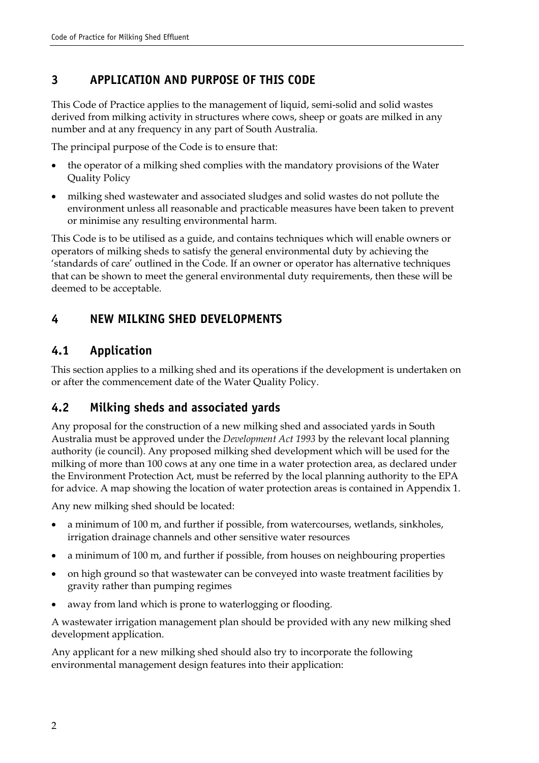# <span id="page-10-0"></span>**3 APPLICATION AND PURPOSE OF THIS CODE**

This Code of Practice applies to the management of liquid, semi-solid and solid wastes derived from milking activity in structures where cows, sheep or goats are milked in any number and at any frequency in any part of South Australia.

The principal purpose of the Code is to ensure that:

- the operator of a milking shed complies with the mandatory provisions of the Water Quality Policy
- milking shed wastewater and associated sludges and solid wastes do not pollute the environment unless all reasonable and practicable measures have been taken to prevent or minimise any resulting environmental harm.

This Code is to be utilised as a guide, and contains techniques which will enable owners or operators of milking sheds to satisfy the general environmental duty by achieving the 'standards of care' outlined in the Code. If an owner or operator has alternative techniques that can be shown to meet the general environmental duty requirements, then these will be deemed to be acceptable.

#### <span id="page-10-1"></span>**4 NEW MILKING SHED DEVELOPMENTS**

#### <span id="page-10-2"></span>**4.1 Application**

This section applies to a milking shed and its operations if the development is undertaken on or after the commencement date of the Water Quality Policy.

#### <span id="page-10-3"></span>**4.2 Milking sheds and associated yards**

Any proposal for the construction of a new milking shed and associated yards in South Australia must be approved under the *Development Act 1993* by the relevant local planning authority (ie council). Any proposed milking shed development which will be used for the milking of more than 100 cows at any one time in a water protection area, as declared under the Environment Protection Act, must be referred by the local planning authority to the EPA for advice. A map showing the location of water protection areas is contained in Appendix 1.

Any new milking shed should be located:

- a minimum of 100 m, and further if possible, from watercourses, wetlands, sinkholes, irrigation drainage channels and other sensitive water resources
- a minimum of 100 m, and further if possible, from houses on neighbouring properties
- on high ground so that wastewater can be conveyed into waste treatment facilities by gravity rather than pumping regimes
- away from land which is prone to waterlogging or flooding.

A wastewater irrigation management plan should be provided with any new milking shed development application.

Any applicant for a new milking shed should also try to incorporate the following environmental management design features into their application: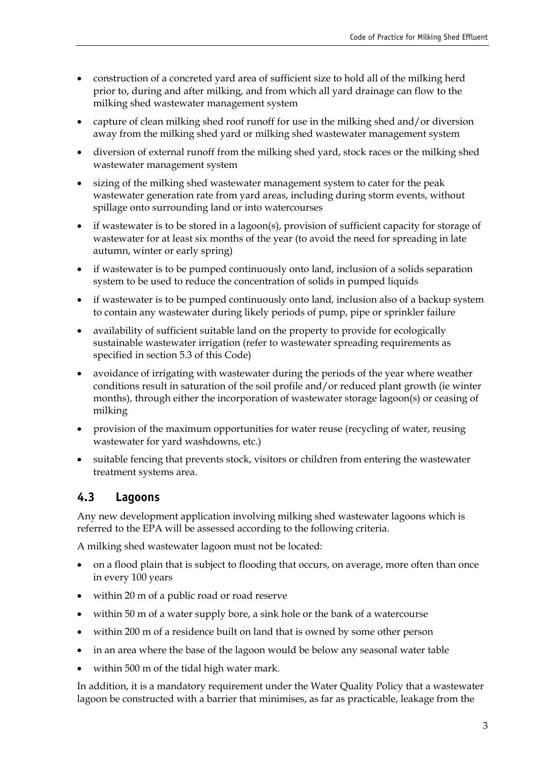- construction of a concreted yard area of sufficient size to hold all of the milking herd prior to, during and after milking, and from which all yard drainage can flow to the milking shed wastewater management system
- capture of clean milking shed roof runoff for use in the milking shed and/or diversion away from the milking shed yard or milking shed wastewater management system
- diversion of external runoff from the milking shed yard, stock races or the milking shed wastewater management system
- sizing of the milking shed wastewater management system to cater for the peak wastewater generation rate from yard areas, including during storm events, without spillage onto surrounding land or into watercourses
- if wastewater is to be stored in a lagoon(s), provision of sufficient capacity for storage of wastewater for at least six months of the year (to avoid the need for spreading in late autumn, winter or early spring)
- if wastewater is to be pumped continuously onto land, inclusion of a solids separation system to be used to reduce the concentration of solids in pumped liquids
- if wastewater is to be pumped continuously onto land, inclusion also of a backup system to contain any wastewater during likely periods of pump, pipe or sprinkler failure
- availability of sufficient suitable land on the property to provide for ecologically sustainable wastewater irrigation (refer to wastewater spreading requirements as specified in section 5.3 of this Code)
- avoidance of irrigating with wastewater during the periods of the year where weather conditions result in saturation of the soil profile and/or reduced plant growth (ie winter months), through either the incorporation of wastewater storage lagoon(s) or ceasing of milking
- provision of the maximum opportunities for water reuse (recycling of water, reusing wastewater for yard washdowns, etc.)
- suitable fencing that prevents stock, visitors or children from entering the wastewater treatment systems area.

# <span id="page-11-0"></span>**4.3 Lagoons**

Any new development application involving milking shed wastewater lagoons which is referred to the EPA will be assessed according to the following criteria.

A milking shed wastewater lagoon must not be located:

- on a flood plain that is subject to flooding that occurs, on average, more often than once in every 100 years
- within 20 m of a public road or road reserve
- within 50 m of a water supply bore, a sink hole or the bank of a watercourse
- within 200 m of a residence built on land that is owned by some other person
- in an area where the base of the lagoon would be below any seasonal water table
- within 500 m of the tidal high water mark.

In addition, it is a mandatory requirement under the Water Quality Policy that a wastewater lagoon be constructed with a barrier that minimises, as far as practicable, leakage from the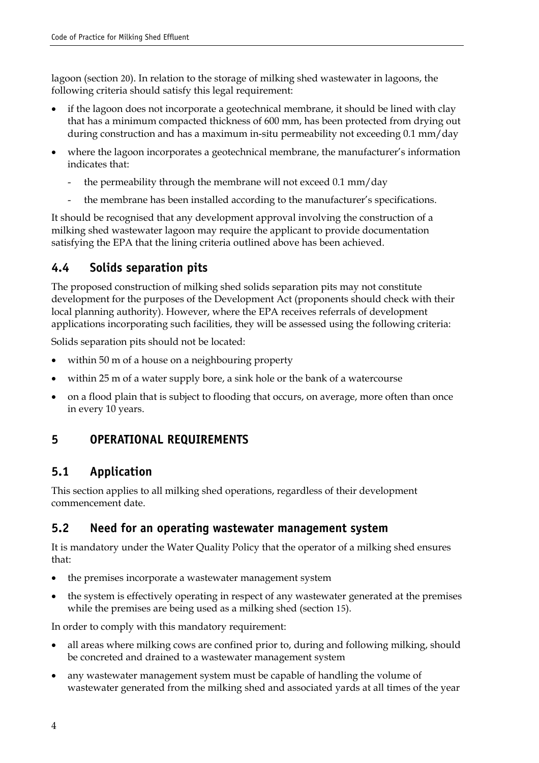lagoon (section 20). In relation to the storage of milking shed wastewater in lagoons, the following criteria should satisfy this legal requirement:

- if the lagoon does not incorporate a geotechnical membrane, it should be lined with clay that has a minimum compacted thickness of 600 mm, has been protected from drying out during construction and has a maximum in-situ permeability not exceeding 0.1 mm/day
- where the lagoon incorporates a geotechnical membrane, the manufacturer's information indicates that:
	- the permeability through the membrane will not exceed 0.1 mm/day
	- the membrane has been installed according to the manufacturer's specifications.

It should be recognised that any development approval involving the construction of a milking shed wastewater lagoon may require the applicant to provide documentation satisfying the EPA that the lining criteria outlined above has been achieved.

#### <span id="page-12-0"></span>**4.4 Solids separation pits**

The proposed construction of milking shed solids separation pits may not constitute development for the purposes of the Development Act (proponents should check with their local planning authority). However, where the EPA receives referrals of development applications incorporating such facilities, they will be assessed using the following criteria:

Solids separation pits should not be located:

- within 50 m of a house on a neighbouring property
- within 25 m of a water supply bore, a sink hole or the bank of a watercourse
- on a flood plain that is subject to flooding that occurs, on average, more often than once in every 10 years.

# <span id="page-12-1"></span>**5 OPERATIONAL REQUIREMENTS**

#### <span id="page-12-2"></span>**5.1 Application**

This section applies to all milking shed operations, regardless of their development commencement date.

#### <span id="page-12-3"></span>**5.2 Need for an operating wastewater management system**

It is mandatory under the Water Quality Policy that the operator of a milking shed ensures that:

- the premises incorporate a wastewater management system
- the system is effectively operating in respect of any wastewater generated at the premises while the premises are being used as a milking shed (section 15).

In order to comply with this mandatory requirement:

- all areas where milking cows are confined prior to, during and following milking, should be concreted and drained to a wastewater management system
- any wastewater management system must be capable of handling the volume of wastewater generated from the milking shed and associated yards at all times of the year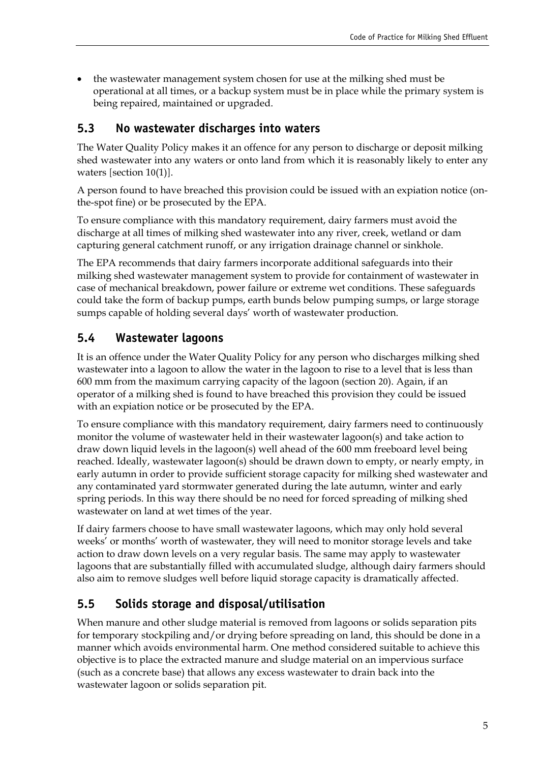• the wastewater management system chosen for use at the milking shed must be operational at all times, or a backup system must be in place while the primary system is being repaired, maintained or upgraded.

#### <span id="page-13-0"></span>**5.3 No wastewater discharges into waters**

The Water Quality Policy makes it an offence for any person to discharge or deposit milking shed wastewater into any waters or onto land from which it is reasonably likely to enter any waters [section 10(1)].

A person found to have breached this provision could be issued with an expiation notice (onthe-spot fine) or be prosecuted by the EPA.

To ensure compliance with this mandatory requirement, dairy farmers must avoid the discharge at all times of milking shed wastewater into any river, creek, wetland or dam capturing general catchment runoff, or any irrigation drainage channel or sinkhole.

The EPA recommends that dairy farmers incorporate additional safeguards into their milking shed wastewater management system to provide for containment of wastewater in case of mechanical breakdown, power failure or extreme wet conditions. These safeguards could take the form of backup pumps, earth bunds below pumping sumps, or large storage sumps capable of holding several days' worth of wastewater production.

# <span id="page-13-1"></span>**5.4 Wastewater lagoons**

It is an offence under the Water Quality Policy for any person who discharges milking shed wastewater into a lagoon to allow the water in the lagoon to rise to a level that is less than 600 mm from the maximum carrying capacity of the lagoon (section 20). Again, if an operator of a milking shed is found to have breached this provision they could be issued with an expiation notice or be prosecuted by the EPA.

To ensure compliance with this mandatory requirement, dairy farmers need to continuously monitor the volume of wastewater held in their wastewater lagoon(s) and take action to draw down liquid levels in the lagoon(s) well ahead of the 600 mm freeboard level being reached. Ideally, wastewater lagoon(s) should be drawn down to empty, or nearly empty, in early autumn in order to provide sufficient storage capacity for milking shed wastewater and any contaminated yard stormwater generated during the late autumn, winter and early spring periods. In this way there should be no need for forced spreading of milking shed wastewater on land at wet times of the year.

If dairy farmers choose to have small wastewater lagoons, which may only hold several weeks' or months' worth of wastewater, they will need to monitor storage levels and take action to draw down levels on a very regular basis. The same may apply to wastewater lagoons that are substantially filled with accumulated sludge, although dairy farmers should also aim to remove sludges well before liquid storage capacity is dramatically affected.

# <span id="page-13-2"></span>**5.5 Solids storage and disposal/utilisation**

When manure and other sludge material is removed from lagoons or solids separation pits for temporary stockpiling and/or drying before spreading on land, this should be done in a manner which avoids environmental harm. One method considered suitable to achieve this objective is to place the extracted manure and sludge material on an impervious surface (such as a concrete base) that allows any excess wastewater to drain back into the wastewater lagoon or solids separation pit.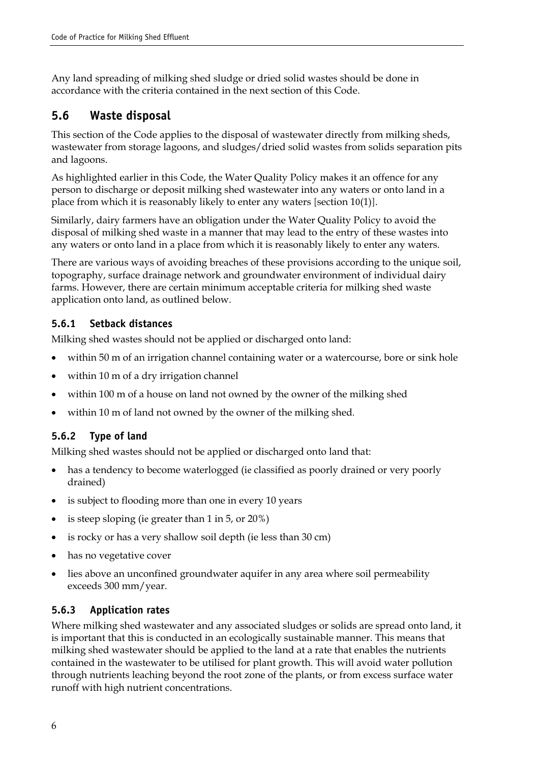Any land spreading of milking shed sludge or dried solid wastes should be done in accordance with the criteria contained in the next section of this Code.

#### <span id="page-14-0"></span>**5.6 Waste disposal**

This section of the Code applies to the disposal of wastewater directly from milking sheds, wastewater from storage lagoons, and sludges/dried solid wastes from solids separation pits and lagoons.

As highlighted earlier in this Code, the Water Quality Policy makes it an offence for any person to discharge or deposit milking shed wastewater into any waters or onto land in a place from which it is reasonably likely to enter any waters [section 10(1)].

Similarly, dairy farmers have an obligation under the Water Quality Policy to avoid the disposal of milking shed waste in a manner that may lead to the entry of these wastes into any waters or onto land in a place from which it is reasonably likely to enter any waters.

There are various ways of avoiding breaches of these provisions according to the unique soil, topography, surface drainage network and groundwater environment of individual dairy farms. However, there are certain minimum acceptable criteria for milking shed waste application onto land, as outlined below.

#### **5.6.1 Setback distances**

Milking shed wastes should not be applied or discharged onto land:

- within 50 m of an irrigation channel containing water or a watercourse, bore or sink hole
- within 10 m of a dry irrigation channel
- within 100 m of a house on land not owned by the owner of the milking shed
- within 10 m of land not owned by the owner of the milking shed*.*

#### **5.6.2 Type of land**

Milking shed wastes should not be applied or discharged onto land that:

- has a tendency to become waterlogged (ie classified as poorly drained or very poorly drained)
- is subject to flooding more than one in every 10 years
- is steep sloping (ie greater than 1 in 5, or 20%)
- is rocky or has a very shallow soil depth (ie less than 30 cm)
- has no vegetative cover
- lies above an unconfined groundwater aquifer in any area where soil permeability exceeds 300 mm/year.

#### **5.6.3 Application rates**

Where milking shed wastewater and any associated sludges or solids are spread onto land, it is important that this is conducted in an ecologically sustainable manner. This means that milking shed wastewater should be applied to the land at a rate that enables the nutrients contained in the wastewater to be utilised for plant growth. This will avoid water pollution through nutrients leaching beyond the root zone of the plants, or from excess surface water runoff with high nutrient concentrations.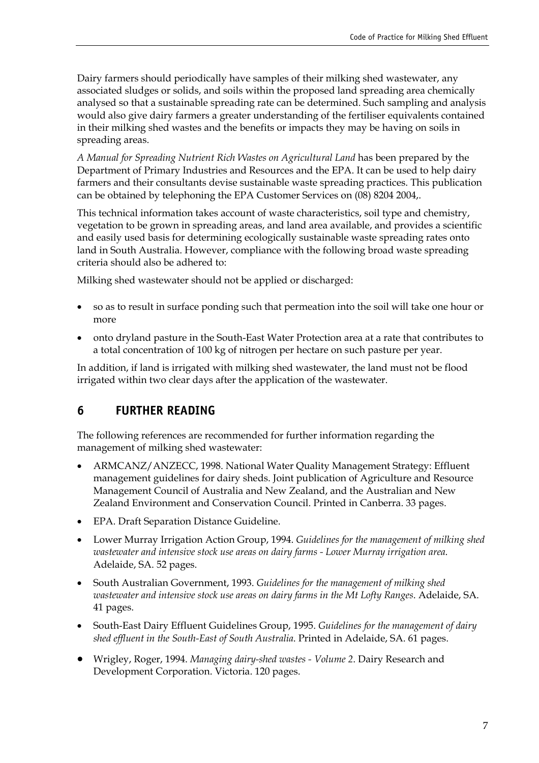Dairy farmers should periodically have samples of their milking shed wastewater, any associated sludges or solids, and soils within the proposed land spreading area chemically analysed so that a sustainable spreading rate can be determined. Such sampling and analysis would also give dairy farmers a greater understanding of the fertiliser equivalents contained in their milking shed wastes and the benefits or impacts they may be having on soils in spreading areas.

*A Manual for Spreading Nutrient Rich Wastes on Agricultural Land* has been prepared by the Department of Primary Industries and Resources and the EPA. It can be used to help dairy farmers and their consultants devise sustainable waste spreading practices. This publication can be obtained by telephoning the EPA Customer Services on (08) 8204 2004,.

This technical information takes account of waste characteristics, soil type and chemistry, vegetation to be grown in spreading areas, and land area available, and provides a scientific and easily used basis for determining ecologically sustainable waste spreading rates onto land in South Australia. However, compliance with the following broad waste spreading criteria should also be adhered to:

Milking shed wastewater should not be applied or discharged:

- so as to result in surface ponding such that permeation into the soil will take one hour or more
- onto dryland pasture in the South-East Water Protection area at a rate that contributes to a total concentration of 100 kg of nitrogen per hectare on such pasture per year.

In addition, if land is irrigated with milking shed wastewater, the land must not be flood irrigated within two clear days after the application of the wastewater.

#### **6 FURTHER READING**

<span id="page-15-0"></span>The following references are recommended for further information regarding the management of milking shed wastewater:

- ARMCANZ/ANZECC, 1998. National Water Quality Management Strategy: Effluent management guidelines for dairy sheds. Joint publication of Agriculture and Resource Management Council of Australia and New Zealand, and the Australian and New Zealand Environment and Conservation Council. Printed in Canberra. 33 pages.
- EPA. Draft Separation Distance Guideline.
- Lower Murray Irrigation Action Group, 1994. *Guidelines for the management of milking shed wastewater and intensive stock use areas on dairy farms - Lower Murray irrigation area*. Adelaide, SA. 52 pages.
- South Australian Government, 1993. *Guidelines for the management of milking shed wastewater and intensive stock use areas on dairy farms in the Mt Lofty Ranges*. Adelaide, SA. 41 pages.
- South-East Dairy Effluent Guidelines Group, 1995. *Guidelines for the management of dairy shed effluent in the South-East of South Australia*. Printed in Adelaide, SA. 61 pages.
- Wrigley, Roger, 1994. *Managing dairy-shed wastes Volume 2*. Dairy Research and Development Corporation. Victoria. 120 pages.